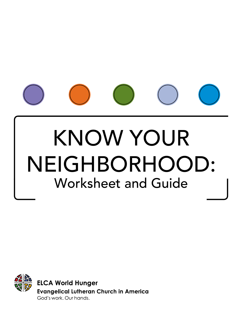

# KNOW YOUR NEIGHBORHOOD: Worksheet and Guide

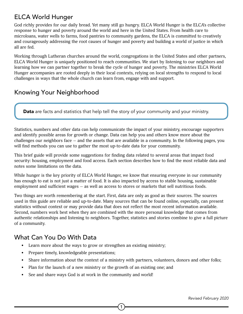# ELCA World Hunger

God richly provides for our daily bread. Yet many still go hungry. ELCA World Hunger is the ELCA's collective response to hunger and poverty around the world and here in the United States. From health care to microloans, water wells to farms, food pantries to community gardens, the ELCA is committed to creatively and courageously addressing the root causes of hunger and poverty and building a world of justice in which all are fed.

Working through Lutheran churches around the world, congregations in the United States and other partners, ELCA World Hunger is uniquely positioned to reach communities. We start by listening to our neighbors and learning how we can partner together to break the cycle of hunger and poverty. The ministries ELCA World Hunger accompanies are rooted deeply in their local contexts, relying on local strengths to respond to local challenges in ways that the whole church can learn from, engage with and support.

# Knowing Your Neighborhood

Data are facts and statistics that help tell the story of your community and your ministry.

Statistics, numbers and other data can help communicate the impact of your ministry, encourage supporters and identify possible areas for growth or change. Data can help you and others know more about the challenges our neighbors face  $-$  and the assets that are available in a community. In the following pages, you will find methods you can use to gather the most up-to-date data for your community.

This brief guide will provide some suggestions for finding data related to several areas that impact food security: housing, employment and food access. Each section describes how to find the most reliable data and notes some limitations on the data.

While hunger is the key priority of ELCA World Hunger, we know that ensuring everyone in our community has enough to eat is not just a matter of food. It is also impacted by access to stable housing, sustainable employment and sufficient wages — as well as access to stores or markets that sell nutritious foods.

Two things are worth remembering at the start. First, data are only as good as their sources. The sources used in this guide are reliable and up-to-date. Many sources that can be found online, especially, can present statistics without context or may provide data that does not reflect the most recent information available. Second, numbers work best when they are combined with the more personal knowledge that comes from authentic relationships and listening to neighbors. Together, statistics and stories combine to give a full picture of a community.

# What Can You Do With Data

- Learn more about the ways to grow or strengthen an existing ministry;
- Prepare timely, knowledgeable presentations;
- Share information about the context of a ministry with partners, volunteers, donors and other folks;

- Plan for the launch of a new ministry or the growth of an existing one; and
- See and share ways God is at work in the community and world!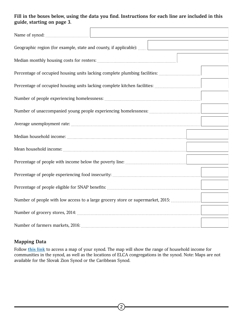### **Fill in the boxes below, using the data you find. Instructions for each line are included in this guide, starting on page 3.**

| Geographic region (for example, state and county, if applicable):               |                                                                            |  |
|---------------------------------------------------------------------------------|----------------------------------------------------------------------------|--|
|                                                                                 |                                                                            |  |
|                                                                                 | Percentage of occupied housing units lacking complete plumbing facilities: |  |
|                                                                                 |                                                                            |  |
|                                                                                 |                                                                            |  |
|                                                                                 |                                                                            |  |
|                                                                                 |                                                                            |  |
|                                                                                 |                                                                            |  |
|                                                                                 |                                                                            |  |
|                                                                                 |                                                                            |  |
|                                                                                 |                                                                            |  |
|                                                                                 |                                                                            |  |
| Number of people with low access to a large grocery store or supermarket, 2015: |                                                                            |  |
|                                                                                 |                                                                            |  |
|                                                                                 |                                                                            |  |

# **Mapping Data**

Follow **[this link](http://www.ELCA.org/Resources/ELCA-World-Hunger#Maps)** to access a map of your synod. The map will show the range of household income for communities in the synod, as well as the locations of ELCA congregations in the synod. Note: Maps are not available for the Slovak Zion Synod or the Caribbean Synod.

 $\left( 2\right)$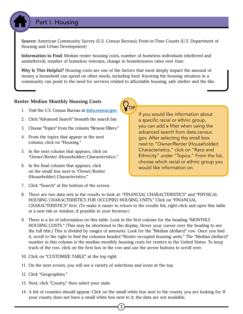# Part I. Housing

**Source:** American Community Survey (U.S. Census Bureau); Point-in-Time Counts (U.S. Department of Housing and Urban Development)

**Information to Find:** Median renter housing costs, number of homeless individuals (sheltered and unsheltered), number of homeless veterans, change in homelessness rates over time

**Why Is This Helpful?** Housing costs are one of the factors that most deeply impact the amount of money a household can spend on other needs, including food. Knowing the housing situation in a community can point to the need for services related to affordable housing, safe shelter and the like.

#### **Renter Median Monthly Housing Costs**

- 1. Visit the U.S. Census Bureau at **[data.census.gov](http://data.census.gov)**.
- 2. Click "Advanced Search" beneath the search bar.
- 3. Choose "Topics" from the column "Browse Filters."
- 4. From the topics that appear in the next column, click on "Housing."
- 5. In the next column that appears, click on "Owner/Renter (Householder) Characteristics."
- 6. In the final column that appears, click on the small box next to "Owner/Renter (Householder) Characteristics."
- 7. Click "Search" at the bottom of the screen.

If you would like information about a specific racial or ethnic group, you can add a filter when using the advanced search from data.census. gov. After selecting the small box next to "Owner/Renter (Householder) Characteristics," click on "Race and Ethnicity" under "Topics." From the list, choose which racial or ethnic group you would like information on.

- 8. There are two data sets in the results to look at: "FINANCIAL CHARACTERISTICS" and "PHYSICAL HOUSING CHARACTERISTICS FOR OCCUPIED HOUSING UNITS." Click on "FINANCIAL CHARACTERISTICS" first. (To make it easier to return to the results list, right-click and open this table in a new tab or window, if possible in your browser.)
- 9. There is a lot of information on this table. Look in the first column for the heading "MONTHLY HOUSING COSTS." (This may be shortened in the display. Hover your cursor over the heading to see the full title.) This is divided by ranges of amounts. Look for the "Median (dollars)" row. Once you find it, scroll to the right to find the columns headed "Renter-occupied housing units." The "Median (dollars)" number in this column is the median monthly housing costs for renters in the United States. To keep track of the row, click on the first box in the row and use the arrow buttons to scroll over.
- 10. Click on "CUSTOMIZE TABLE" at the top right.
- 11. On the next screen, you will see a variety of selections and icons at the top.
- 12. Click "Geographies."
- 13. Next, click "County," then select your state.
- 14. A list of counties should appear. Click on the small white box next to the county you are looking for. If your county does not have a small white box next to it, the data are not available.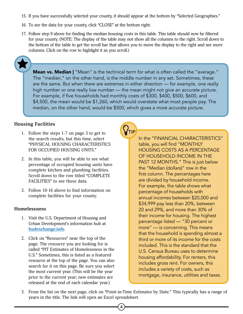- 15. If you have successfully selected your county, it should appear at the bottom by "Selected Geographies."
- 16. To see the data for your county, click "CLOSE" at the bottom right.
- 17. Follow step 9 above for finding the median housing costs in this table. This table should now be filtered for your county. (NOTE: The display of the table may not show all the columns to the right. Scroll down to the bottom of the table to get the scroll bar that allows you to move the display to the right and see more columns. Click on the row to highlight it as you scroll.)



Mean vs. Median | "Mean" is the technical term for what is often called the "average." The "median," on the other hand, is the middle number in any set. Sometimes, these are the same. But when there are extremes in either direction — for example, one really high number or one really low number — the mean might not give an accurate picture. For example, if five households had monthly costs of \$300, \$400, \$500, \$600, and \$4,500, the mean would be \$1,260, which would overstate what most people pay. The median, on the other hand, would be \$500, which gives a more accurate picture.

#### **Housing Facilities**

- 1. Follow the steps 1-7 on page 3 to get to the search results, but this time, select "PHYSICAL HOUSING CHARACTERISTICS FOR OCCUPIED HOUSING UNITS."
- 2. In this table, you will be able to see what percentage of occupied housing units have complete kitchen and plumbing facilities. Scroll down to the row titled "COMPLETE FACILITIES" to see these data.
- 3. Follow 10-16 above to find information on complete facilities for your county.

#### **Homelessness**

- 1. Visit the U.S. Department of Housing and Urban Development's information hub at **[hudexchange.info](http://hudexchange.info)**.
- 2. Click on "Resources" near the top of the page. The resource you are looking for is called "PIT Estimates of Homelessness in the U.S." Sometimes, this is listed as a featured resource at the top of the page. You can also search for it on this page. Be sure you select the most current year. (This will be the year prior to the current year; new estimates are released at the end of each calendar year.)

In the "FINANCIAL CHARACTERISTICS" table, you will find "MONTHLY HOUSING COSTS AS A PERCENTAGE OF HOUSEHOLD INCOME IN THE PAST 12 MONTHS." This is just below the "Median (dollars)" row in the first column. The percentages here are divided by household income. For example, the table shows what percentage of households with annual incomes between \$20,000 and \$34,999 pay less than 20%, between 20 and 29%, and more than 30% of their income for housing. The highest percentage listed — "30 percent or more" — is concerning. This means that the household is spending almost a third or more of its income for the costs included. This is the standard that the U.S. Census Bureau uses to determine housing affordability. For renters, this includes gross rent. For owners, this includes a variety of costs, such as mortgage, insurance, utilities and taxes.

3. From the list on the next page, click on "Point-in-Time Estimates by State." This typically has a range of years in the title. The link will open an Excel spreadsheet.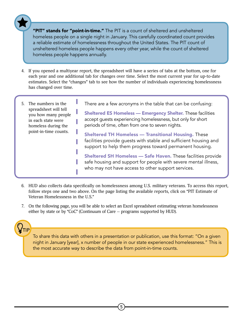"PIT" stands for "point-in-time." The PIT is a count of sheltered and unsheltered homeless people on a single night in January. This carefully coordinated count provides a reliable estimate of homelessness throughout the United States. The PIT count of unsheltered homeless people happens every other year, while the count of sheltered homeless people happens annually.

4. If you opened a multiyear report, the spreadsheet will have a series of tabs at the bottom, one for each year and one additional tab for changes over time. Select the most current year for up-to-date estimates. Select the "changes" tab to see how the number of individuals experiencing homelessness has changed over time.

| The numbers in the<br>5.<br>spreadsheet will tell<br>you how many people<br>in each state were<br>homeless during the<br>point-in-time counts. | There are a few acronyms in the table that can be confusing:<br><b>Sheltered ES Homeless - Emergency Shelter.</b> These facilities<br>accept guests experiencing homelessness, but only for short<br>periods of time, often from one to seven nights. |
|------------------------------------------------------------------------------------------------------------------------------------------------|-------------------------------------------------------------------------------------------------------------------------------------------------------------------------------------------------------------------------------------------------------|
|                                                                                                                                                | <b>Sheltered TH Homeless - Transitional Housing. These</b><br>facilities provide guests with stable and sufficient housing and<br>support to help them progress toward permanent housing.                                                             |
|                                                                                                                                                | <b>Sheltered SH Homeless - Safe Haven.</b> These facilities provide<br>safe housing and support for people with severe mental illness,<br>who may not have access to other support services.                                                          |

- 6. HUD also collects data specifically on homelessness among U.S. military veterans. To access this report, follow steps one and two above. On the page listing the available reports, click on "PIT Estimate of Veteran Homelessness in the U.S."
- 7. On the following page, you will be able to select an Excel spreadsheet estimating veteran homelessness either by state or by "CoC" (Continuum of Care — programs supported by HUD).



To share this data with others in a presentation or publication, use this format: "On a given night in January [year], x number of people in our state experienced homelessness." This is the most accurate way to describe the data from point-in-time counts.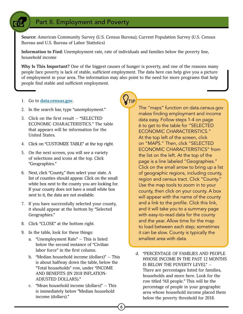# Part II. Employment and Poverty

**Source:** American Community Survey (U.S. Census Bureau); Current Population Survey (U.S. Census Bureau and U.S. Bureau of Labor Statistics)

**Information to Find:** Unemployment rate, rate of individuals and families below the poverty line, household income

**Why Is This Important?** One of the biggest causes of hunger is poverty, and one of the reasons many people face poverty is lack of stable, sufficient employment. The data here can help give you a picture of employment in your area. The information may also point to the need for more programs that help people find stable and sufficient employment.

'TIP

6

- 1. Go to **[data.census.gov](http://data.census.gov)**.
- 2. In the search bar, type "unemployment."
- 3. Click on the first result "SELECTED ECONOMIC CHARACTERISTICS." The table that appears will be information for the United States.
- 4. Click on "CUSTOMIZE TABLE" at the top right.
- 5. On the next screen, you will see a variety of selections and icons at the top. Click "Geographies."
- 6. Next, click "County," then select your state. A list of counties should appear. Click on the small white box next to the county you are looking for. If your county does not have a small white box next to it, the data are not available.
- 7. If you have successfully selected your county, it should appear at the bottom by "Selected Geographies."
- 8. Click "CLOSE" at the bottom right.
- 9. In the table, look for these things:
	- a. "Unemployment Rate" This is listed below the second instance of "Civilian labor force" in the first column.
	- b. "Median household income (dollars)" This is about halfway down the table, below the "Total households" row, under "INCOME AND BENEFITS (IN 2018 INFLATION-ADJUSTED DOLLARS)."
	- c. "Mean household income (dollars)" This is immediately below "Median household income (dollars)."

The "maps" function on data.census.gov makes finding employment and income data easy. Follow steps 1-4 on page 6 to get to the table for "SELECTED ECONOMIC CHARACTERISTICS." At the top left of the screen, click on "MAPS." Then, click "SELECTED ECONOMIC CHARACTERISTICS" from the list on the left. At the top of the page is a line labeled "Geographies." Click on the small arrow to bring up a list of geographic regions, including county, region and census tract. Click "County." Use the map tools to zoom in to your county, then click on your county. A box will appear with the name of the county and a link to the profile. Click this link, and it will take you to a summary page with easy-to-read data for the county and the year. Allow time for the map to load between each step; sometimes it can be slow. County is typically the smallest area with data.

d. "PERCENTAGE OF FAMILIES AND PEOPLE WHOSE INCOME IN THE PAST 12 MONTHS IS BELOW THE POVERTY LEVEL" — There are percentages listed for families, households and more here. Look for the row titled "All people." This will be the percentage of people in your geographic area whose household income placed them below the poverty threshold for 2018.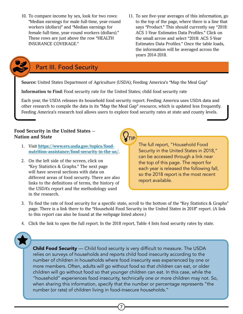- 10. To compare income by sex, look for two rows: "Median earnings for male full-time, year-round workers (dollars)" and "Median earnings for female full-time, year-round workers (dollars)." These rows are just above the row "HEALTH INSURANCE COVERAGE."
- 11. To see five-year averages of this information, go to the top of the page, where there is a line that says "Product." This should currently say "2018: ACS 1-Year Estimates Data Profiles." Click on the small arrow and select "2018: ACS 5-Year Estimates Data Profiles." Once the table loads, the information will be averaged across the years 2014-2018.

# Part III. Food Security

**Source:** United States Department of Agriculture (USDA); Feeding America's "Map the Meal Gap"

**Information to Find:** Food security rate for the United States; child food security rate

Each year, the USDA releases its household food security report. Feeding America uses USDA data and other research to compile the data in its "Map the Meal Gap" resource, which is updated less frequently. Feeding America's research tool allows users to explore food security rates at state and county levels.

#### **Food Security in the United States — Nation and State**

- 1. Visit **[https://www.ers.usda.gov/topics/food](https://www.ers.usda.gov/topics/food-nutrition-assistance/food-security-in-the-us/)[nutrition-assistance/food-security-in-the-us/](https://www.ers.usda.gov/topics/food-nutrition-assistance/food-security-in-the-us/)**.
- 2. On the left side of the screen, click on "Key Statistics & Graphs." The next page will have several sections with data on different areas of food security. There are also links to the definitions of terms, the history of the USDA's report and the methodology used in the research.

The full report, "Household Food Security in the United States in 2018," can be accessed through a link near the top of this page. The report for each year is released the following fall, so the 2018 report is the most recent report available.

- 3. To find the rate of food security for a specific state, scroll to the bottom of the "Key Statistics & Graphs" page. There is a link there to the "Household Food Security in the United States in 2018" report. (A link to this report can also be found at the webpage listed above.)
- 4. Click the link to open the full report. In the 2018 report, Table 4 lists food security rates by state.

**Child Food Security** — Child food security is very difficult to measure. The USDA relies on surveys of households and reports child food insecurity according to the number of children in households where food insecurity was experienced by one or more members. Often, adults will go without food so that children can eat, or older children will go without food so that younger children can eat. In this case, while the "household" experiences food insecurity, technically one or more children may not. So, when sharing this information, specify that the number or percentage represents "the number (or rate) of children living in food-insecure households."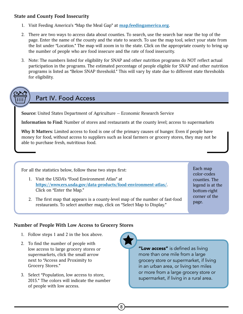#### **State and County Food Insecurity**

- 1. Visit Feeding America's "Map the Meal Gap" at **[map.feedingamerica.org](http://map.feedingamerica.org)**.
- 2. There are two ways to access data about counties. To search, use the search bar near the top of the page. Enter the name of the county and the state to search. To use the map tool, select your state from the list under "Location." The map will zoom in to the state. Click on the appropriate county to bring up the number of people who are food insecure and the rate of food insecurity.
- 3. Note: The numbers listed for eligibility for SNAP and other nutrition programs do NOT reflect actual participation in the programs. The estimated percentage of people eligible for SNAP and other nutrition programs is listed as "Below SNAP threshold." This will vary by state due to different state thresholds for eligibility.

# Part IV. Food Access

**Source:** United States Department of Agriculture — Economic Research Service

**Information to Find:** Number of stores and restaurants at the county level; access to supermarkets

**Why It Matters:** Limited access to food is one of the primary causes of hunger. Even if people have money for food, without access to suppliers such as local farmers or grocery stores, they may not be able to purchase fresh, nutritious food.

For all the statistics below, follow these two steps first:

- 1. Visit the USDA's "Food Environment Atlas" at **<https://www.ers.usda.gov/data-products/food-environment-atlas/>**. Click on "Enter the Map."
- 2. The first map that appears is a county-level map of the number of fast-food restaurants. To select another map, click on "Select Map to Display."

Each map color-codes counties. The legend is at the bottom-right corner of the page.

# **Number of People With Low Access to Grocery Stores**

- 1. Follow steps 1 and 2 in the box above.
- 2. To find the number of people with low access to large grocery stores or supermarkets, click the small arrow next to "Access and Proximity to Grocery Stores."
- 3. Select "Population, low access to store, 2015." The colors will indicate the number of people with low access.

8

"Low access" is defined as living more than one mile from a large grocery store or supermarket, if living in an urban area, or living ten miles or more from a large grocery store or supermarket, if living in a rural area.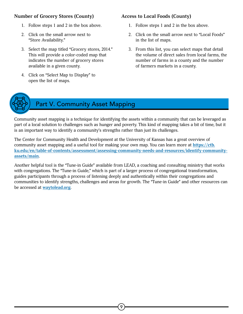### **Number of Grocery Stores (County)**

- 1. Follow steps 1 and 2 in the box above.
- 2. Click on the small arrow next to "Store Availability."
- 3. Select the map titled "Grocery stores, 2014." This will provide a color-coded map that indicates the number of grocery stores available in a given county.
- 4. Click on "Select Map to Display" to open the list of maps.

# **Access to Local Foods (County)**

- 1. Follow steps 1 and 2 in the box above.
- 2. Click on the small arrow next to "Local Foods" in the list of maps.
- 3. From this list, you can select maps that detail the volume of direct sales from local farms, the number of farms in a county and the number of farmers markets in a county.



# Part V. Community Asset Mapping

Community asset mapping is a technique for identifying the assets within a community that can be leveraged as part of a local solution to challenges such as hunger and poverty. This kind of mapping takes a bit of time, but it is an important way to identify a community's strengths rather than just its challenges.

The Center for Community Health and Development at the University of Kansas has a great overview of community asset mapping and a useful tool for making your own map. You can learn more at **[https://ctb.](https://ctb.ku.edu/en/table-of-contents/assessment/assessing-community-needs-and-resources/identify-community-assets/main) [ku.edu/en/table-of-contents/assessment/assessing-community-needs-and-resources/identify-community](https://ctb.ku.edu/en/table-of-contents/assessment/assessing-community-needs-and-resources/identify-community-assets/main)[assets/main](https://ctb.ku.edu/en/table-of-contents/assessment/assessing-community-needs-and-resources/identify-community-assets/main)**.

Another helpful tool is the "Tune-in Guide" available from LEAD, a coaching and consulting ministry that works with congregations. The "Tune-in Guide," which is part of a larger process of congregational transformation, guides participants through a process of listening deeply and authentically within their congregations and communities to identify strengths, challenges and areas for growth. The "Tune-in Guide" and other resources can be accessed at **[waytolead.org](http://waytolead.org)**.